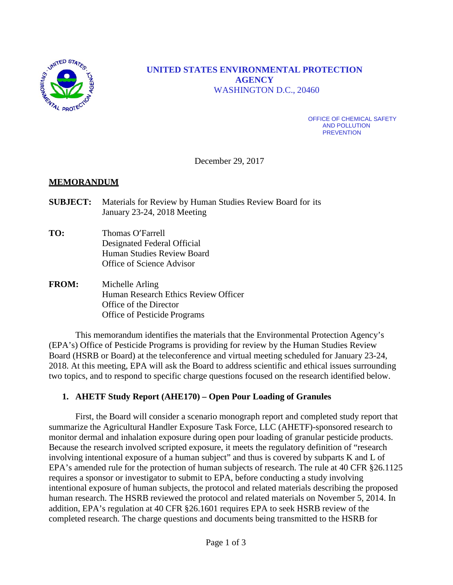

## **UNITED STATES ENVIRONMENTAL PROTECTION AGENCY** WASHINGTON D.C., 20460

OFFICE OF CHEMICAL SAFETY AND POLLUTION **PREVENTION** 

December 29, 2017

#### **MEMORANDUM**

- **SUBJECT:** Materials for Review by Human Studies Review Board for its January 23-24, 2018 Meeting
- **TO:** Thomas O'Farrell Designated Federal Official Human Studies Review Board Office of Science Advisor
- **FROM:** Michelle Arling Human Research Ethics Review Officer Office of the Director Office of Pesticide Programs

This memorandum identifies the materials that the Environmental Protection Agency's (EPA's) Office of Pesticide Programs is providing for review by the Human Studies Review Board (HSRB or Board) at the teleconference and virtual meeting scheduled for January 23-24, 2018. At this meeting, EPA will ask the Board to address scientific and ethical issues surrounding two topics, and to respond to specific charge questions focused on the research identified below.

#### **1. AHETF Study Report (AHE170) – Open Pour Loading of Granules**

First, the Board will consider a scenario monograph report and completed study report that summarize the Agricultural Handler Exposure Task Force, LLC (AHETF)-sponsored research to monitor dermal and inhalation exposure during open pour loading of granular pesticide products. Because the research involved scripted exposure, it meets the regulatory definition of "research involving intentional exposure of a human subject" and thus is covered by subparts K and L of EPA's amended rule for the protection of human subjects of research. The rule at 40 CFR §26.1125 requires a sponsor or investigator to submit to EPA, before conducting a study involving intentional exposure of human subjects, the protocol and related materials describing the proposed human research. The HSRB reviewed the protocol and related materials on November 5, 2014. In addition, EPA's regulation at 40 CFR §26.1601 requires EPA to seek HSRB review of the completed research. The charge questions and documents being transmitted to the HSRB for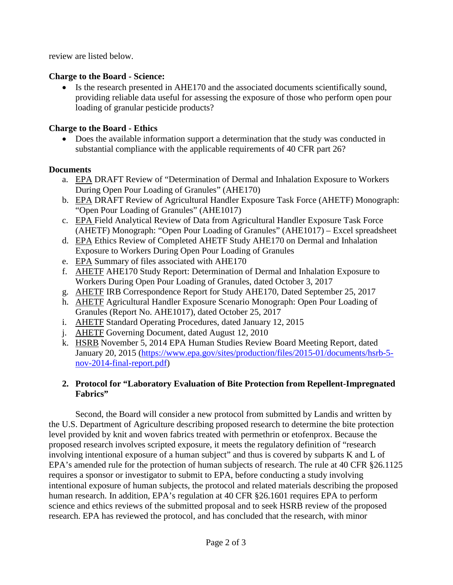review are listed below.

## **Charge to the Board - Science:**

• Is the research presented in AHE170 and the associated documents scientifically sound, providing reliable data useful for assessing the exposure of those who perform open pour loading of granular pesticide products?

# **Charge to the Board - Ethics**

• Does the available information support a determination that the study was conducted in substantial compliance with the applicable requirements of 40 CFR part 26?

# **Documents**

- a. EPA DRAFT Review of "Determination of Dermal and Inhalation Exposure to Workers During Open Pour Loading of Granules" (AHE170)
- b. EPA DRAFT Review of Agricultural Handler Exposure Task Force (AHETF) Monograph: "Open Pour Loading of Granules" (AHE1017)
- c. EPA Field Analytical Review of Data from Agricultural Handler Exposure Task Force (AHETF) Monograph: "Open Pour Loading of Granules" (AHE1017) – Excel spreadsheet
- d. EPA Ethics Review of Completed AHETF Study AHE170 on Dermal and Inhalation Exposure to Workers During Open Pour Loading of Granules
- e. EPA Summary of files associated with AHE170
- f. AHETF AHE170 Study Report: Determination of Dermal and Inhalation Exposure to Workers During Open Pour Loading of Granules, dated October 3, 2017
- g. AHETF IRB Correspondence Report for Study AHE170, Dated September 25, 2017
- h. AHETF Agricultural Handler Exposure Scenario Monograph: Open Pour Loading of Granules (Report No. AHE1017), dated October 25, 2017
- i. AHETF Standard Operating Procedures, dated January 12, 2015
- j. AHETF Governing Document, dated August 12, 2010
- k. HSRB November 5, 2014 EPA Human Studies Review Board Meeting Report, dated January 20, 2015 [\(https://www.epa.gov/sites/production/files/2015-01/documents/hsrb-5](https://www.epa.gov/sites/production/files/2015-01/documents/hsrb-5-nov-2014-final-report.pdf) [nov-2014-final-report.pdf\)](https://www.epa.gov/sites/production/files/2015-01/documents/hsrb-5-nov-2014-final-report.pdf)

# **2. Protocol for "Laboratory Evaluation of Bite Protection from Repellent-Impregnated Fabrics"**

Second, the Board will consider a new protocol from submitted by Landis and written by the U.S. Department of Agriculture describing proposed research to determine the bite protection level provided by knit and woven fabrics treated with permethrin or etofenprox. Because the proposed research involves scripted exposure, it meets the regulatory definition of "research involving intentional exposure of a human subject" and thus is covered by subparts K and L of EPA's amended rule for the protection of human subjects of research. The rule at 40 CFR §26.1125 requires a sponsor or investigator to submit to EPA, before conducting a study involving intentional exposure of human subjects, the protocol and related materials describing the proposed human research. In addition, EPA's regulation at 40 CFR §26.1601 requires EPA to perform science and ethics reviews of the submitted proposal and to seek HSRB review of the proposed research. EPA has reviewed the protocol, and has concluded that the research, with minor